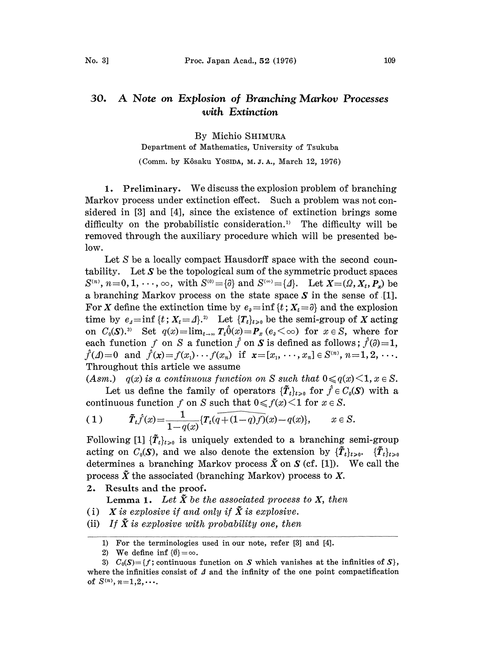## 30. A Note on Explosion of Branching Markov Processes with Extinction

By Michio SHIMURA

Department of Mathematics, University of Tsukuba (Comm. by K,6saku YOSlDA, M.J.A., March 12, 1976)

1. Preliminary. We discuss the explosion problem of branching Markov process under extinction effect. Such a problem was not considered in [3] and [4], since the existence of extinction brings some difficulty on the probabilistic consideration.<sup>1)</sup> The difficulty will be removed through the auxiliary procedure which will be presented below.

Let S be a locally compact Hausdorff space with the second countability. Let  $S$  be the topological sum of the symmetric product spaces  $S^{(n)}$ ,  $n=0, 1, \dots, \infty$ , with  $S^{(0)} = {\{\hat{\theta}\}}$  and  $S^{(\infty)} = {\{\hat{\theta}\}}$ . Let  $X = (\Omega, X_t, P_x)$  be a branching Markov process on the state space  $S$  in the sense of [1]. For X define the extinction time by  $e_i = \inf \{t : X_t = \partial \}$  and the explosion time by  $e_4=\inf\{t; X_t=4\}$ .<sup>2)</sup> Let  $\{T_t\}_{t>0}$  be the semi-group of X acting on  $C_0(S)$ .<sup>3)</sup> Set  $q(x) = \lim_{t \to \infty} T_t \hat{0}(x) = P_x(e_0 \leq \infty)$  for  $x \in S$ , where for each function f on S a function f on S is defined as follows;  $\hat{f}(\partial)=1$ ,  $\hat{f}(\Lambda)=0$  and  $\hat{f}(x)=f(x_1)\cdots f(x_n)$  if  $x=[x_1, \cdots, x_n]\in S^{(n)}$ ,  $n=1,2,\cdots$ . Throughout this article we assume

(Asm.)  $q(x)$  is a continuous function on S such that  $0 \leq q(x) \leq 1, x \in S$ .

Let us define the family of operators  $\{\tilde{T}_t\}_{t>0}$  for  $\hat{f} \in C_0(\mathcal{S})$  with a continuous function f on S such that  $0 \le f(x) \le 1$  for  $x \in S$ .

(1) 
$$
\tilde{T}_t \hat{f}(x) = \frac{1}{1 - q(x)} \{ T_t (q + (1 - q)f)(x) - q(x) \}, \quad x \in S.
$$

Following [1]  $\{\tilde{T}_t\}_{t>0}$  is uniquely extended to a branching semi-group acting on  $C_0(\mathbf{S})$ , and we also denote the extension by  $\{\tilde{\boldsymbol{T}}_t\}_{t>0}$ .  $\{\tilde{\boldsymbol{T}}_t\}_{t>0}$ determines a branching Markov process  $\tilde{X}$  on  $S$  (cf. [1]). We call the process  $\tilde{X}$  the associated (branching Markov) process to X.

2. Results and the proof.

**Lemma 1.** Let  $\tilde{X}$  be the associated process to X, then

- (i) X is explosive if and only if  $\tilde{X}$  is explosive.
- (ii) If  $\tilde{X}$  is explosive with probability one, then

<sup>1)</sup> For the terminologies used in our note, refer [3] and [4].

<sup>2)</sup> We define inf  $\{\emptyset\} = \infty$ .

<sup>3)</sup>  $C_0(S) = \{f$ ; continuous function on S which vanishes at the infinities of S, where the infinities consist of  $\Delta$  and the infinity of the one point compactification of  $S^{(n)}$ ,  $n=1,2,...$ .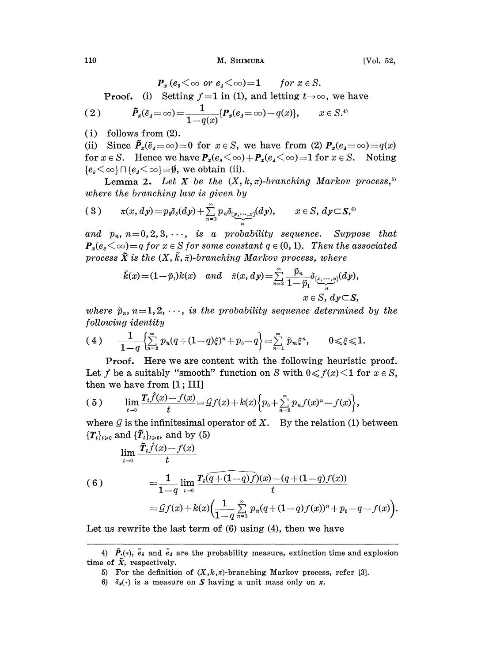110 M. SHIMURA

 $P_x$  (e<sub>a</sub>  $\lt \infty$  or e<sub>4</sub> $\lt \infty$ )=1 for  $x \in S$ . **Proof.** (i) Setting  $f=1$  in (1), and letting  $t\rightarrow\infty$ , we have ( 2 )  $\tilde{P}_x(\tilde{e}_A = \infty) = \frac{1}{1-q(x)} \{P_x(e_A = \infty) - q(x)\}, \qquad x \in S^{(*)}$ 

(i) follows from (2).

(ii) Since  $\tilde{P}_x(\tilde{e}_4=\infty)=0$  for  $x \in S$ , we have from (2)  $P_x(e_4=\infty)=q(x)$ for  $x \in S$ . Hence we have  $P_x(e_3 \le \infty) + P_x(e_4 \le \infty) = 1$  for  $x \in S$ . Noting  ${e_i \leq \infty} \cap {e_1 \leq \infty} = \emptyset$ , we obtain (ii).

Lemma 2. Let X be the  $(X, k, \pi)$ -branching Markov process,<sup>5)</sup> where the branching law is given by

$$
(3) \qquad \pi(x,dy) = p_0 \delta_{\delta}(dy) + \sum_{n=2}^{\infty} p_n \delta_{[\frac{x}{2},\cdots,\frac{x}{n}]}(dy), \qquad x \in S, dy \subset S^{\mathfrak{h}}
$$

and  $p_n$ ,  $n=0,2,3,\cdots$ , is a probability sequence. Suppose that  $P_x(e_a \leq \infty) = q$  for  $x \in S$  for some constant  $q \in (0, 1)$ . Then the associated process  $\tilde{X}$  is the  $(X, \tilde{k}, \tilde{\pi})$ -branching Markov process, where  $(n=0,2,3,\cdots,$  is a probability sequence. Supp<br>  $(x) = q$  for  $x \in S$  for some constant  $q \in (0,1)$ . Then the c<br>  $\tilde{X}$  is the  $(X, \tilde{k}, \tilde{\pi})$ -branching Markov process, where<br>  $\tilde{k}(x) = (1-\tilde{p}_1)k(x)$  and  $\tilde{\pi}(x, dy) = \sum_{n=1}^{\$ 

$$
\begin{array}{ll}\tilde{k}(x)\!=\!(1\!-\!\tilde{p}_1)k(x) \quad and & \tilde{\pi}(x,dy)\!=\!\!\sum\limits_{n=2}^\infty \frac{\tilde{p}_n}{1\!-\!\tilde{p}_1} \delta_{[\![\underline{x},\cdots,\underline{x}]\!]}(dy),\\ & \phantom{a} x\in S, \,dy\!\subset\! \boldsymbol{S}, \end{array}
$$

where  $\tilde{p}_n$ ,  $n=1, 2, \dots$ , is the probability sequence determined by the following identity

following identity  
\n(4) 
$$
\frac{1}{1-q} \left\{ \sum_{n=2}^{\infty} p_n (q+(1-q)\xi)^n + p_0 - q \right\} = \sum_{n=1}^{\infty} \tilde{p}_m \xi^n, \qquad 0 \leq \xi \leq 1.
$$

Proof. Here we are content with the following heuristic proof. Let f be a suitably "smooth" function on S with  $0 \le f(x) \le 1$  for  $x \in S$ , then we have from  $[1; III]$ 

(5) 
$$
\lim_{t \to 0} \frac{T_t \hat{f}(x) - f(x)}{t} = \mathcal{G}f(x) + k(x) \Big\{ p_0 + \sum_{n=2}^{\infty} p_n f(x)^n - f(x) \Big\},
$$

where  $\mathcal G$  is the infinitesimal operator of X. By the relation (1) between

$$
\begin{aligned}\n\{\mathbf{T}_t\}_{t>0} \text{ and } \{\tilde{\mathbf{T}}_t\}_{t>0}, \text{ and by (5)} \\
\lim_{t \to 0} \frac{\tilde{\mathbf{T}}_t \hat{f}(x) - f(x)}{t} \\
\text{(6)} \quad &= \frac{1}{1-q} \lim_{t \to 0} \frac{\mathbf{T}_t \overline{(q + (1-q)f)}(x) - (q + (1-q)f(x))}{t} \\
&= \mathcal{G}f(x) + k(x) \Big( \frac{1}{1-q} \sum_{n=2}^{\infty} p_n (q + (1-q)f(x))^n + p_0 - q - f(x) \Big).\n\end{aligned}
$$

Let us rewrite the last term of  $(6)$  using  $(4)$ , then we have

<sup>4)</sup>  $\tilde{P}(\epsilon)$ ,  $\tilde{e}_{\theta}$  and  $\tilde{e}_{\theta}$  are the probability measure, extinction time and explosion time of  $\tilde{X}$ , respectively.

<sup>5)</sup> For the definition of  $(X, k, \pi)$ -branching Markov process, refer [3].

<sup>6)</sup>  $\delta_x(\cdot)$  is a measure on S having a unit mass only on x.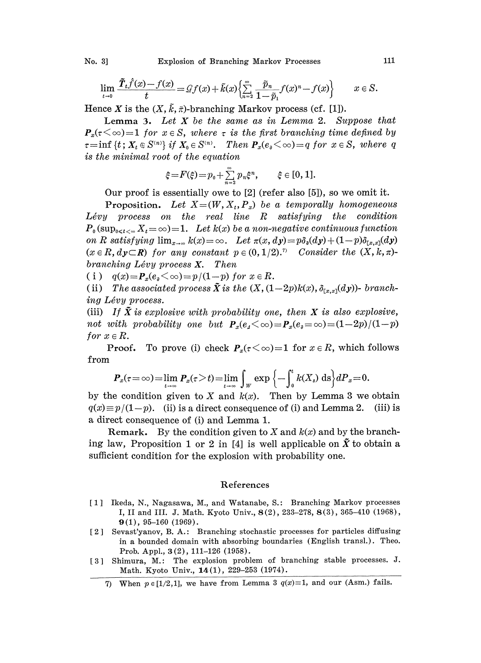$$
\lim_{t \to 0} \frac{\tilde{T}_t \hat{f}(x) - f(x)}{t} = \mathcal{Q}f(x) + \tilde{k}(x) \Big\{ \sum_{n=2}^{\infty} \frac{\tilde{p}_n}{1 - \tilde{p}_1} f(x)^n - f(x) \Big\} \qquad x \in S.
$$

Hence X is the  $(X, \tilde{k}, \tilde{\pi})$ -branching Markov process (cf. [1]).

Lemma 3. Let  $X$  be the same as in Lemma 2. Suppose that  $P_x(\tau \leq \infty)=1$  for  $x \in S$ , where  $\tau$  is the first branching time defined by  $\tau=\inf\{t\,;\,X_t\in S^{(n)}\}\,$  if  $X_0\in S^{(n)}$ . Then  $P_x(e_0<\infty)=q$  for  $x\in S$ , where q is the minimal root of the equation

$$
\xi = F(\xi) = p_0 + \sum_{n=2}^{\infty} p_n \xi^n
$$
,  $\xi \in [0, 1]$ .

Our proof is essentially owe to  $[2]$  (refer also  $[5]$ ), so we omit it.

**Proposition.** Let  $X=(W, X_t, P_x)$  be a temporally homogeneous  $Lévy$  process on the real line  $R$  satisfying the condition  $P_0(\sup_{0\leq t<\infty}X_t=\infty)=1.$  Let  $k(x)$  be a non-negative continuous function on R satisfying  $\lim_{x\to\infty} k(x) = \infty$ . Let  $\pi(x, dy) = p\delta_{\theta}(dy) + (1-p)\delta_{[x, x]}(dy)$  $(x \in R, dy \subset R)$  for any constant  $p \in (0, 1/2)$ .<sup>7</sup> Consider the  $(X, k, \pi)$ branching Lévy process  $X$ . Then

( i )  $q(x)=P_x(e_{\rho}<\infty)=p/(1-p)$  for  $x \in R$ .

(ii) The associated process  $\tilde{X}$  is the  $(X, (1-2p)k(x), \delta_{\text{f}x,x}(dy))$ - branching Lévy process.

(iii) If  $\tilde{X}$  is explosive with probability one, then X is also explosive, not with probability one but  $P_x(e_4<\infty)=P_x(e_4=\infty)=(1-2p)/(1-p)$ for  $x \in R$ .

**Proof.** To prove (i) check  $P_x(\tau \leq \infty)=1$  for  $x \in R$ , which follows from

$$
\boldsymbol{P}_x(\tau=\infty)=\lim_{t\to\infty}\boldsymbol{P}_x(\tau>t)=\lim_{t\to\infty}\int_W\exp\left\{-\int_0^t k(X_s)\,\mathrm{d}s\right\}d\boldsymbol{P}_x=0.
$$

by the condition given to X and  $k(x)$ . Then by Lemma 3 we obtain  $q(x) \equiv p/(1-p)$ . (ii) is a direct consequence of (i) and Lemma 2. (iii) is a direct consequence of (i) and Lemma 1.

**Remark.** By the condition given to X and  $k(x)$  and by the branching law, Proposition 1 or 2 in [4] is well applicable on  $\tilde{X}$  to obtain a sufficient condition for the explosion with probability one.

## References

- 1] Ikeda, N., Nagasawa, M., and Watanabe, S.: Branching Markov processes I, II and III. J. Math. Kyoto Univ., 8 (2), 233-278, 8 (3), 365-410 (1968),  $9(1), 95-160 (1969).$
- 2 Sevast'yanov, B.A.: Branching stochastic processes for particles diffusing in a bounded domain with absorbing boundaries (English transl.). Theo. Prob. Appl., 3(2), 111-126 (1958).
- [3] Shimura, M.: The explosion problem of branching stable processes. J. Math. Kyoto Univ., 14 (1), 229-253 (1974).
	- 7) When  $p \in [1/2,1]$ , we have from Lemma 3  $q(x) \equiv 1$ , and our (Asm.) fails.